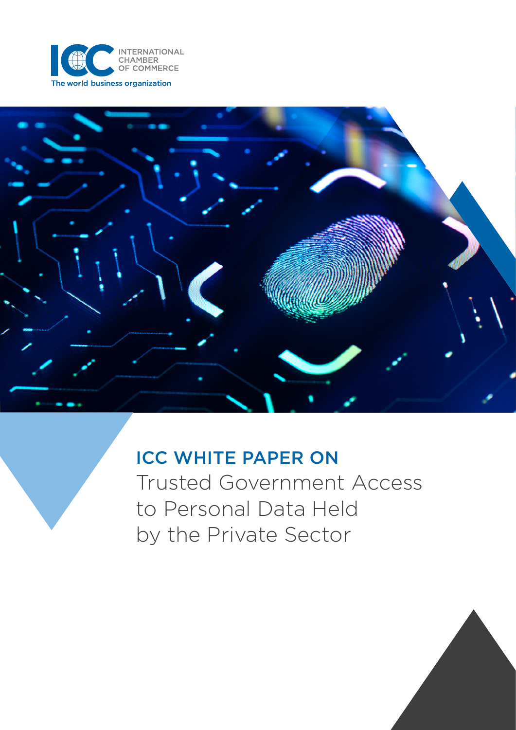



# ICC WHITE PAPER ON

Trusted Government Access to Personal Data Held by the Private Sector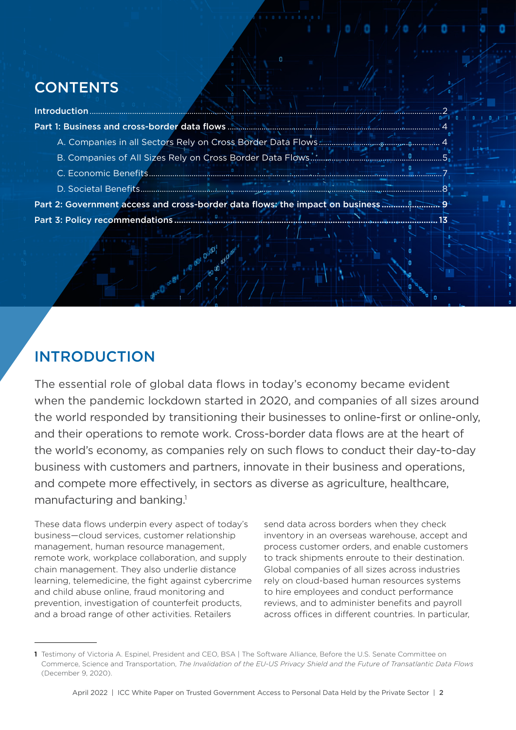## <span id="page-1-0"></span>**CONTENTS**

| <b>Introduction</b>                                                           |
|-------------------------------------------------------------------------------|
|                                                                               |
|                                                                               |
|                                                                               |
|                                                                               |
|                                                                               |
| Part 2: Government access and cross-border data flows: the impact on business |
|                                                                               |
|                                                                               |

## INTRODUCTION

The essential role of global data flows in today's economy became evident when the pandemic lockdown started in 2020, and companies of all sizes around the world responded by transitioning their businesses to online-first or online-only, and their operations to remote work. Cross-border data flows are at the heart of the world's economy, as companies rely on such flows to conduct their day-to-day business with customers and partners, innovate in their business and operations, and compete more effectively, in sectors as diverse as agriculture, healthcare, manufacturing and banking.<sup>1</sup>

These data flows underpin every aspect of today's business—cloud services, customer relationship management, human resource management, remote work, workplace collaboration, and supply chain management. They also underlie distance learning, telemedicine, the fight against cybercrime and child abuse online, fraud monitoring and prevention, investigation of counterfeit products, and a broad range of other activities. Retailers

send data across borders when they check inventory in an overseas warehouse, accept and process customer orders, and enable customers to track shipments enroute to their destination. Global companies of all sizes across industries rely on cloud-based human resources systems to hire employees and conduct performance reviews, and to administer benefits and payroll across offices in different countries. In particular,

<sup>1</sup> Testimony of Victoria A. Espinel, President and CEO, BSA | The Software Alliance, Before the U.S. Senate Committee on Commerce, Science and Transportation, *The Invalidation of the EU-US Privacy Shield and the Future of Transatlantic Data Flows* (December 9, 2020).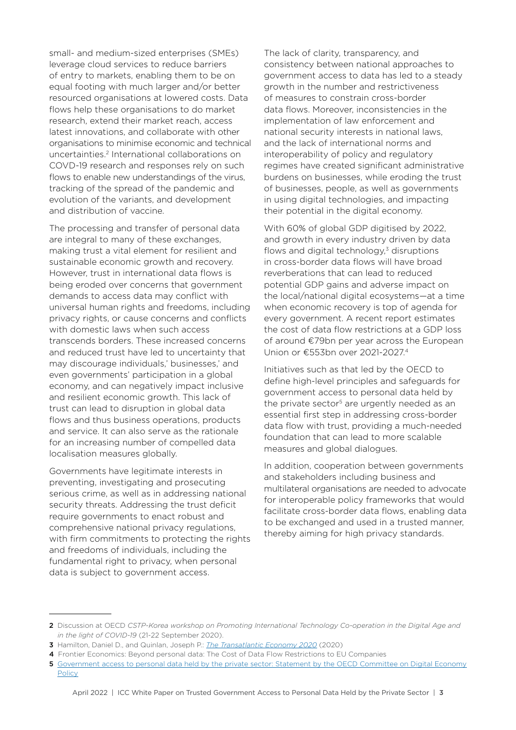small- and medium-sized enterprises (SMEs) leverage cloud services to reduce barriers of entry to markets, enabling them to be on equal footing with much larger and/or better resourced organisations at lowered costs. Data flows help these organisations to do market research, extend their market reach, access latest innovations, and collaborate with other organisations to minimise economic and technical uncertainties.2 International collaborations on COVD-19 research and responses rely on such flows to enable new understandings of the virus, tracking of the spread of the pandemic and evolution of the variants, and development and distribution of vaccine.

The processing and transfer of personal data are integral to many of these exchanges, making trust a vital element for resilient and sustainable economic growth and recovery. However, trust in international data flows is being eroded over concerns that government demands to access data may conflict with universal human rights and freedoms, including privacy rights, or cause concerns and conflicts with domestic laws when such access transcends borders. These increased concerns and reduced trust have led to uncertainty that may discourage individuals,' businesses,' and even governments' participation in a global economy, and can negatively impact inclusive and resilient economic growth. This lack of trust can lead to disruption in global data flows and thus business operations, products and service. It can also serve as the rationale for an increasing number of compelled data localisation measures globally.

Governments have legitimate interests in preventing, investigating and prosecuting serious crime, as well as in addressing national security threats. Addressing the trust deficit require governments to enact robust and comprehensive national privacy regulations, with firm commitments to protecting the rights and freedoms of individuals, including the fundamental right to privacy, when personal data is subject to government access.

The lack of clarity, transparency, and consistency between national approaches to government access to data has led to a steady growth in the number and restrictiveness of measures to constrain cross-border data flows. Moreover, inconsistencies in the implementation of law enforcement and national security interests in national laws, and the lack of international norms and interoperability of policy and regulatory regimes have created significant administrative burdens on businesses, while eroding the trust of businesses, people, as well as governments in using digital technologies, and impacting their potential in the digital economy.

With 60% of global GDP digitised by 2022, and growth in every industry driven by data flows and digital technology, $3$  disruptions in cross-border data flows will have broad reverberations that can lead to reduced potential GDP gains and adverse impact on the local/national digital ecosystems—at a time when economic recovery is top of agenda for every government. A recent report estimates the cost of data flow restrictions at a GDP loss of around €79bn per year across the European Union or €553bn over 2021-2027.4

Initiatives such as that led by the OECD to define high-level principles and safeguards for government access to personal data held by the private sector<sup>5</sup> are urgently needed as an essential first step in addressing cross-border data flow with trust, providing a much-needed foundation that can lead to more scalable measures and global dialogues.

In addition, cooperation between governments and stakeholders including business and multilateral organisations are needed to advocate for interoperable policy frameworks that would facilitate cross-border data flows, enabling data to be exchanged and used in a trusted manner, thereby aiming for high privacy standards.

<sup>2</sup> Discussion at OECD *CSTP-Korea workshop on Promoting International Technology Co-operation in the Digital Age and in the light of COVID-19* (21-22 September 2020).

<sup>3</sup> Hamilton, Daniel D., and Quinlan, Joseph P.: *[The Transatlantic Economy 2020](https://transatlanticrelations.org/publications/transatlantic-economy-2020/)* (2020)

<sup>4</sup> Frontier Economics: Beyond personal data: The Cost of Data Flow Restrictions to EU Companies

<sup>5</sup> Government access to personal data held by the private sector: Statement by the OECD Committee on Digital Economy **[Policy](https://www.oecd.org/digital/trusted-government-access-personal-data-private-sector.htm)**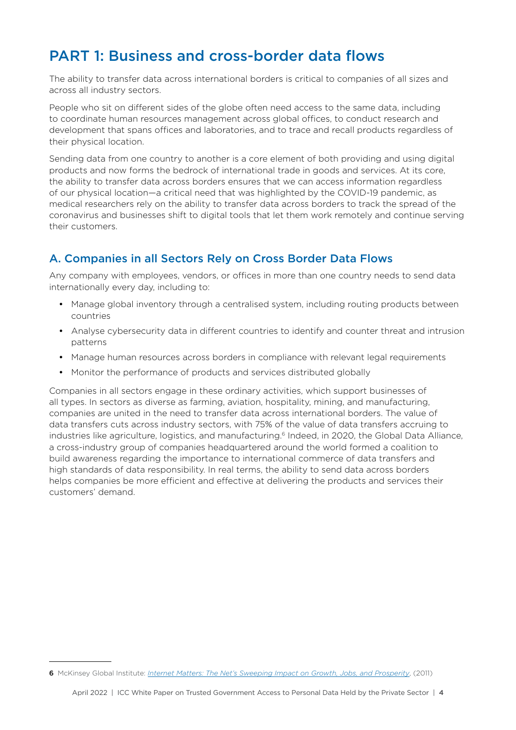### <span id="page-3-0"></span>PART 1: Business and cross-border data flows

The ability to transfer data across international borders is critical to companies of all sizes and across all industry sectors.

People who sit on different sides of the globe often need access to the same data, including to coordinate human resources management across global offices, to conduct research and development that spans offices and laboratories, and to trace and recall products regardless of their physical location.

Sending data from one country to another is a core element of both providing and using digital products and now forms the bedrock of international trade in goods and services. At its core, the ability to transfer data across borders ensures that we can access information regardless of our physical location—a critical need that was highlighted by the COVID-19 pandemic, as medical researchers rely on the ability to transfer data across borders to track the spread of the coronavirus and businesses shift to digital tools that let them work remotely and continue serving their customers.

### A. Companies in all Sectors Rely on Cross Border Data Flows

Any company with employees, vendors, or offices in more than one country needs to send data internationally every day, including to:

- Manage global inventory through a centralised system, including routing products between countries
- Analyse cybersecurity data in different countries to identify and counter threat and intrusion patterns
- Manage human resources across borders in compliance with relevant legal requirements
- Monitor the performance of products and services distributed globally

Companies in all sectors engage in these ordinary activities, which support businesses of all types. In sectors as diverse as farming, aviation, hospitality, mining, and manufacturing, companies are united in the need to transfer data across international borders. The value of data transfers cuts across industry sectors, with 75% of the value of data transfers accruing to industries like agriculture, logistics, and manufacturing.<sup>6</sup> Indeed, in 2020, the Global Data Alliance, a cross-industry group of companies headquartered around the world formed a coalition to build awareness regarding the importance to international commerce of data transfers and high standards of data responsibility. In real terms, the ability to send data across borders helps companies be more efficient and effective at delivering the products and services their customers' demand.

<sup>6</sup> McKinsey Global Institute: *[Internet Matters: The Net's Sweeping Impact on Growth, Jobs, and Prosperity](https://www.mckinsey.com/~/media/McKinsey/Industries/Technology%20Media%20and%20Telecommunications/High%20Tech/Our%20Insights/Internet%20matters/MGI_internet_matters_full_report.ashx)*, (2011)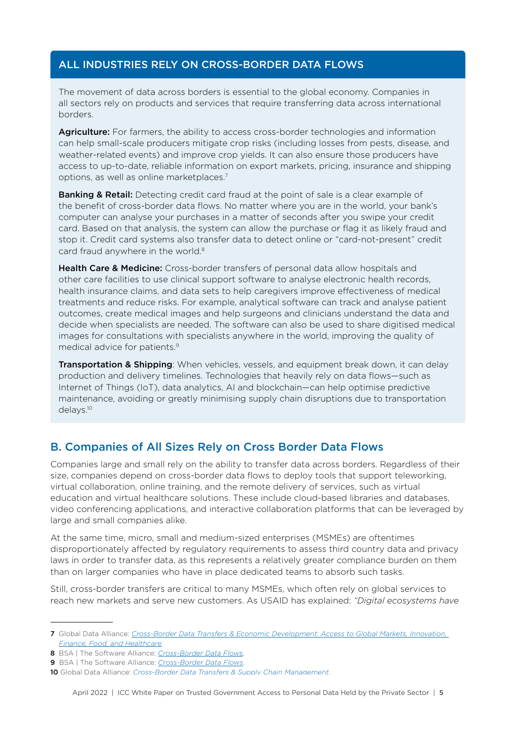#### <span id="page-4-0"></span>ALL INDUSTRIES RELY ON CROSS-BORDER DATA FLOWS

The movement of data across borders is essential to the global economy. Companies in all sectors rely on products and services that require transferring data across international borders.

Agriculture: For farmers, the ability to access cross-border technologies and information can help small-scale producers mitigate crop risks (including losses from pests, disease, and weather-related events) and improve crop yields. It can also ensure those producers have access to up-to-date, reliable information on export markets, pricing, insurance and shipping options, as well as online marketplaces.7

**Banking & Retail:** Detecting credit card fraud at the point of sale is a clear example of the benefit of cross-border data flows. No matter where you are in the world, your bank's computer can analyse your purchases in a matter of seconds after you swipe your credit card. Based on that analysis, the system can allow the purchase or flag it as likely fraud and stop it. Credit card systems also transfer data to detect online or "card-not-present" credit card fraud anywhere in the world.<sup>8</sup>

Health Care & Medicine: Cross-border transfers of personal data allow hospitals and other care facilities to use clinical support software to analyse electronic health records, health insurance claims, and data sets to help caregivers improve effectiveness of medical treatments and reduce risks. For example, analytical software can track and analyse patient outcomes, create medical images and help surgeons and clinicians understand the data and decide when specialists are needed. The software can also be used to share digitised medical images for consultations with specialists anywhere in the world, improving the quality of medical advice for patients.9

**Transportation & Shipping**: When vehicles, vessels, and equipment break down, it can delay production and delivery timelines. Technologies that heavily rely on data flows—such as Internet of Things (IoT), data analytics, AI and blockchain—can help optimise predictive maintenance, avoiding or greatly minimising supply chain disruptions due to transportation delays.10

#### B. Companies of All Sizes Rely on Cross Border Data Flows

Companies large and small rely on the ability to transfer data across borders. Regardless of their size, companies depend on cross-border data flows to deploy tools that support teleworking, virtual collaboration, online training, and the remote delivery of services, such as virtual education and virtual healthcare solutions. These include cloud-based libraries and databases, video conferencing applications, and interactive collaboration platforms that can be leveraged by large and small companies alike.

At the same time, micro, small and medium-sized enterprises (MSMEs) are oftentimes disproportionately affected by regulatory requirements to assess third country data and privacy laws in order to transfer data, as this represents a relatively greater compliance burden on them than on larger companies who have in place dedicated teams to absorb such tasks.

Still, cross-border transfers are critical to many MSMEs, which often rely on global services to reach new markets and serve new customers. As USAID has explained: *"Digital ecosystems have* 

<sup>7</sup> Global Data Alliance: *[Cross-Border Data Transfers & Economic Development: Access to Global Markets, Innovation,](https://www.globaldataalliance.org/downloads/05062021econdevelopments1.pdf)  [Finance, Food, and Healthcare](https://www.globaldataalliance.org/downloads/05062021econdevelopments1.pdf)*

<sup>8</sup> BSA | The Software Alliance: *[Cross-Border Data Flows](https://www.bsa.org/files/policy-filings/BSA_2017CrossBorderDataFlows.pdf)*,

<sup>9</sup> BSA | The Software Alliance: *[Cross-Border Data Flows](https://www.bsa.org/files/policy-filings/BSA_2017CrossBorderDataFlows.pdf)*.

<sup>10</sup> Global Data Alliance: *[Cross-Border Data Transfers & Supply Chain Management](https://www.globaldataalliance.org/downloads/03182021gdaprimersupplychain.pdf)*.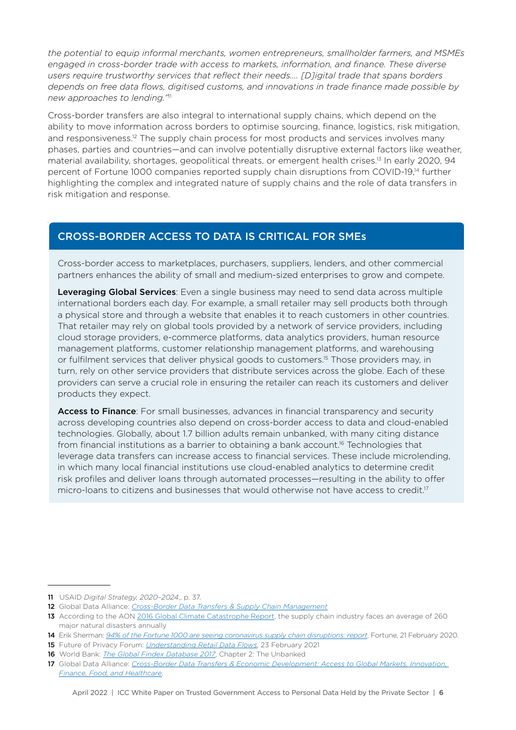*the potential to equip informal merchants, women entrepreneurs, smallholder farmers, and MSMEs engaged in cross-border trade with access to markets, information, and finance. These diverse users require trustworthy services that reflect their needs.... [D]igital trade that spans borders depends on free data flows, digitised customs, and innovations in trade finance made possible by new approaches to lending."*<sup>11</sup>

Cross-border transfers are also integral to international supply chains, which depend on the ability to move information across borders to optimise sourcing, finance, logistics, risk mitigation, and responsiveness.<sup>12</sup> The supply chain process for most products and services involves many phases, parties and countries—and can involve potentially disruptive external factors like weather, material availability, shortages, geopolitical threats, or emergent health crises.13 In early 2020, 94 percent of Fortune 1000 companies reported supply chain disruptions from COVID-19,<sup>14</sup> further highlighting the complex and integrated nature of supply chains and the role of data transfers in risk mitigation and response.

#### CROSS-BORDER ACCESS TO DATA IS CRITICAL FOR SMEs

Cross-border access to marketplaces, purchasers, suppliers, lenders, and other commercial partners enhances the ability of small and medium-sized enterprises to grow and compete.

Leveraging Global Services: Even a single business may need to send data across multiple international borders each day. For example, a small retailer may sell products both through a physical store and through a website that enables it to reach customers in other countries. That retailer may rely on global tools provided by a network of service providers, including cloud storage providers, e-commerce platforms, data analytics providers, human resource management platforms, customer relationship management platforms, and warehousing or fulfilment services that deliver physical goods to customers.15 Those providers may, in turn, rely on other service providers that distribute services across the globe. Each of these providers can serve a crucial role in ensuring the retailer can reach its customers and deliver products they expect.

Access to Finance: For small businesses, advances in financial transparency and security across developing countries also depend on cross-border access to data and cloud-enabled technologies. Globally, about 1.7 billion adults remain unbanked, with many citing distance from financial institutions as a barrier to obtaining a bank account.<sup>16</sup> Technologies that leverage data transfers can increase access to financial services. These include microlending, in which many local financial institutions use cloud-enabled analytics to determine credit risk profiles and deliver loans through automated processes—resulting in the ability to offer micro-loans to citizens and businesses that would otherwise not have access to credit.<sup>17</sup>

<sup>11</sup> USAID *[Digital Strategy, 2020–2024](https://www.usaid.gov/usaid-digital-strategy)*,, p. 37.

<sup>12</sup> Global Data Alliance: *[Cross-Border Data Transfers & Supply Chain Management](https://www.globaldataalliance.org/downloads/03182021gdaprimersupplychain.pdf)*

<sup>13</sup> According to the AON [2016 Global Climate Catastrophe Report,](http://thoughtleadership.aon.com/Documents/20170117-ab-if-annual-climate-catastrophe-report.pdf) the supply chain industry faces an average of 260 major natural disasters annually

<sup>14</sup> Erik Sherman: *[94% of the Fortune 1000 are seeing coronavirus supply chain disruptions: report](https://fortune.com/2020/02/21/fortune-1000-coronavirus-china-supply-chain-impact)*, Fortune, 21 February 2020.

<sup>15</sup> Future of Privacy Forum: *[Understanding Retail Data Flows](https://fpf.org/wp-content/uploads/2021/03/infographic_3.15.21.pdf)*, 23 February 2021

<sup>16</sup> World Bank: *[The Global Findex Database 2017](https://globalfindex.worldbank.org/sites/globalfindex/files/chapters/2017%20Findex%20full%20report_chapter2.pdf)*, Chapter 2: The Unbanked

<sup>17</sup> Global Data Alliance: *[Cross-Border Data Transfers & Economic Development: Access to Global Markets, Innovation,](https://www.globaldataalliance.org/downloads/05062021econdevelopments1.pdf)  [Finance, Food, and Healthcare](https://www.globaldataalliance.org/downloads/05062021econdevelopments1.pdf)*.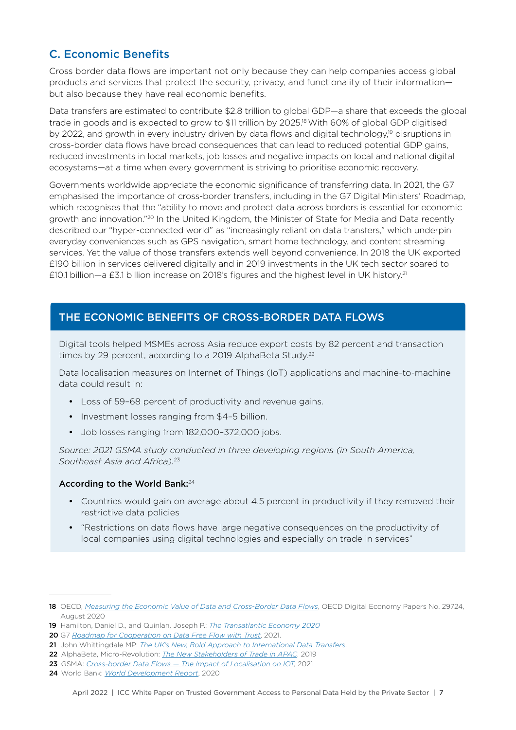### <span id="page-6-0"></span>C. Economic Benefits

Cross border data flows are important not only because they can help companies access global products and services that protect the security, privacy, and functionality of their information but also because they have real economic benefits.

Data transfers are estimated to contribute \$2.8 trillion to global GDP—a share that exceeds the global trade in goods and is expected to grow to \$11 trillion by 2025.18 With 60% of global GDP digitised by 2022, and growth in every industry driven by data flows and digital technology,<sup>19</sup> disruptions in cross-border data flows have broad consequences that can lead to reduced potential GDP gains, reduced investments in local markets, job losses and negative impacts on local and national digital ecosystems—at a time when every government is striving to prioritise economic recovery.

Governments worldwide appreciate the economic significance of transferring data. In 2021, the G7 emphasised the importance of cross-border transfers, including in the G7 Digital Ministers' Roadmap, which recognises that the "ability to move and protect data across borders is essential for economic growth and innovation."20 In the United Kingdom, the Minister of State for Media and Data recently described our "hyper-connected world" as "increasingly reliant on data transfers," which underpin everyday conveniences such as GPS navigation, smart home technology, and content streaming services. Yet the value of those transfers extends well beyond convenience. In 2018 the UK exported £190 billion in services delivered digitally and in 2019 investments in the UK tech sector soared to £10.1 billion—a £3.1 billion increase on 2018's figures and the highest level in UK history.21

#### THE ECONOMIC BENEFITS OF CROSS-BORDER DATA FLOWS

Digital tools helped MSMEs across Asia reduce export costs by 82 percent and transaction times by 29 percent, according to a 2019 AlphaBeta Study.<sup>22</sup>

Data localisation measures on Internet of Things (IoT) applications and machine-to-machine data could result in:

- Loss of 59–68 percent of productivity and revenue gains.
- Investment losses ranging from \$4–5 billion.
- Job losses ranging from 182,000–372,000 jobs.

*Source: 2021 GSMA study conducted in three developing regions (in South America, Southeast Asia and Africa).*<sup>23</sup>

#### According to the World Bank:<sup>24</sup>

- Countries would gain on average about 4.5 percent in productivity if they removed their restrictive data policies
- "Restrictions on data flows have large negative consequences on the productivity of local companies using digital technologies and especially on trade in services"

<sup>18</sup> OECD, *[Measuring the Economic Value of Data and Cross-Border Data Flows](https://www.oecd.org/digital/measuring-the-economic-value-of-data-and-cross-border-data-flows-6345995e-en.htm)*, OECD Digital Economy Papers No. 29724, August 2020

<sup>19</sup> Hamilton, Daniel D., and Quinlan, Joseph P.: *[The Transatlantic Economy 2020](https://transatlanticrelations.org/publications/transatlantic-economy-2020/)*

<sup>20</sup> G7 *[Roadmap for Cooperation on Data Free Flow with Trust](https://assets.publishing.service.gov.uk/government/uploads/system/uploads/attachment_data/file/986160/Annex_2__Roadmap_for_cooperation_on_Data_Free_Flow_with_Trust.pdf)*, 2021.

<sup>21</sup> John Whittingdale MP: *[The UK's New, Bold Approach to International Data Transfers](https://www.privacylaws.com/reports-gateway/articles/uk114/uk114datatransfers/)*.

<sup>22</sup> AlphaBeta, Micro-Revolution: *[The New Stakeholders of Trade in APAC](https://alphabeta.com/our-research/micro-revolution-the-new-stakeholders-of-trade-in-apac)*, 2019

<sup>23</sup> GSMA: *[Cross-border Data Flows — The Impact of Localisation on IOT](https://www.gsma.com/publicpolicy/wp-content/uploads/2021/01/Cross_border_data_flows_the_impact_of_data_localisation_on_IoT_Full_Report.pdf),* 2021

<sup>24</sup> World Bank: *[World Development Report](https://www.worldbank.org/en/publication/wdr2020)*, 2020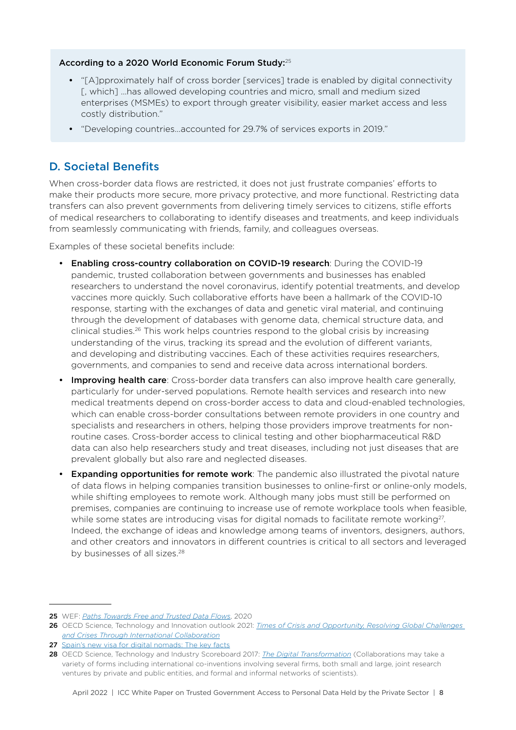#### <span id="page-7-0"></span>According to a 2020 World Economic Forum Study:<sup>25</sup>

- "[A]pproximately half of cross border [services] trade is enabled by digital connectivity [, which] …has allowed developing countries and micro, small and medium sized enterprises (MSMEs) to export through greater visibility, easier market access and less costly distribution."
- "Developing countries...accounted for 29.7% of services exports in 2019."

### D. Societal Benefits

When cross-border data flows are restricted, it does not just frustrate companies' efforts to make their products more secure, more privacy protective, and more functional. Restricting data transfers can also prevent governments from delivering timely services to citizens, stifle efforts of medical researchers to collaborating to identify diseases and treatments, and keep individuals from seamlessly communicating with friends, family, and colleagues overseas.

Examples of these societal benefits include:

- Enabling cross-country collaboration on COVID-19 research: During the COVID-19 pandemic, trusted collaboration between governments and businesses has enabled researchers to understand the novel coronavirus, identify potential treatments, and develop vaccines more quickly. Such collaborative efforts have been a hallmark of the COVID-10 response, starting with the exchanges of data and genetic viral material, and continuing through the development of databases with genome data, chemical structure data, and clinical studies.26 This work helps countries respond to the global crisis by increasing understanding of the virus, tracking its spread and the evolution of different variants, and developing and distributing vaccines. Each of these activities requires researchers, governments, and companies to send and receive data across international borders.
- **Improving health care**: Cross-border data transfers can also improve health care generally, particularly for under-served populations. Remote health services and research into new medical treatments depend on cross-border access to data and cloud-enabled technologies, which can enable cross-border consultations between remote providers in one country and specialists and researchers in others, helping those providers improve treatments for nonroutine cases. Cross-border access to clinical testing and other biopharmaceutical R&D data can also help researchers study and treat diseases, including not just diseases that are prevalent globally but also rare and neglected diseases.
- Expanding opportunities for remote work: The pandemic also illustrated the pivotal nature of data flows in helping companies transition businesses to online-first or online-only models, while shifting employees to remote work. Although many jobs must still be performed on premises, companies are continuing to increase use of remote workplace tools when feasible, while some states are introducing visas for digital nomads to facilitate remote working<sup>27</sup>. Indeed, the exchange of ideas and knowledge among teams of inventors, designers, authors, and other creators and innovators in different countries is critical to all sectors and leveraged by businesses of all sizes.<sup>28</sup>

<sup>25</sup> WEF: *[Paths Towards Free and Trusted Data Flows](https://www.jmfrri.gr.jp/content/files/Open/Related%20Information%20/WEF_May2020.pdf)*, 2020

<sup>26</sup> OECD Science, Technology and Innovation outlook 2021: *[Times of Crisis and Opportunity, Resolving Global Challenges](https://www.oecd-ilibrary.org/sites/e0643f52-en/index.html?itemId=/content/component/e0643f52-en)  [and Crises Through International Collaboration](https://www.oecd-ilibrary.org/sites/e0643f52-en/index.html?itemId=/content/component/e0643f52-en)*

<sup>27</sup> Spain's new visa for digital nomads: The key facts

<sup>28</sup> OECD Science, Technology and Industry Scoreboard 2017: *[The Digital Transformation](https://www.oecd.org/sti/oecd-science-technology-and-industry-scoreboard-20725345.htm)* (Collaborations may take a variety of forms including international co-inventions involving several firms, both small and large, joint research ventures by private and public entities, and formal and informal networks of scientists).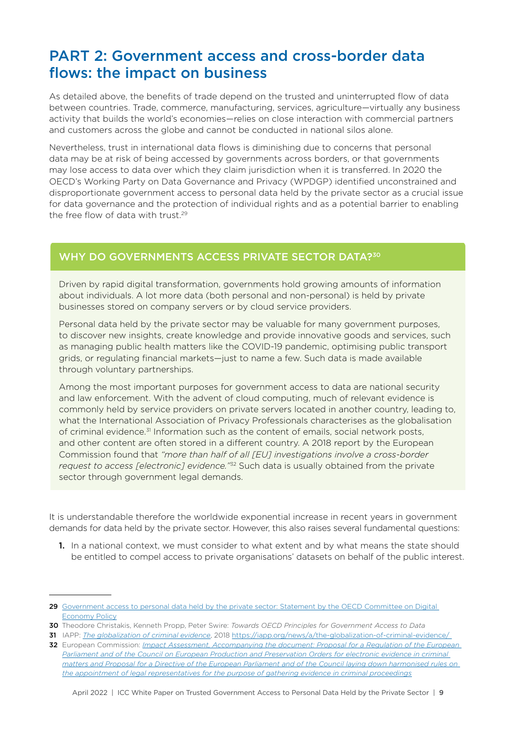### <span id="page-8-0"></span>PART 2: Government access and cross-border data flows: the impact on business

As detailed above, the benefits of trade depend on the trusted and uninterrupted flow of data between countries. Trade, commerce, manufacturing, services, agriculture—virtually any business activity that builds the world's economies—relies on close interaction with commercial partners and customers across the globe and cannot be conducted in national silos alone.

Nevertheless, trust in international data flows is diminishing due to concerns that personal data may be at risk of being accessed by governments across borders, or that governments may lose access to data over which they claim jurisdiction when it is transferred. In 2020 the OECD's Working Party on Data Governance and Privacy (WPDGP) identified unconstrained and disproportionate government access to personal data held by the private sector as a crucial issue for data governance and the protection of individual rights and as a potential barrier to enabling the free flow of data with trust.29

#### WHY DO GOVERNMENTS ACCESS PRIVATE SECTOR DATA?<sup>30</sup>

Driven by rapid digital transformation, governments hold growing amounts of information about individuals. A lot more data (both personal and non-personal) is held by private businesses stored on company servers or by cloud service providers.

Personal data held by the private sector may be valuable for many government purposes, to discover new insights, create knowledge and provide innovative goods and services, such as managing public health matters like the COVID-19 pandemic, optimising public transport grids, or regulating financial markets—just to name a few. Such data is made available through voluntary partnerships.

Among the most important purposes for government access to data are national security and law enforcement. With the advent of cloud computing, much of relevant evidence is commonly held by service providers on private servers located in another country, leading to, what the International Association of Privacy Professionals characterises as the globalisation of criminal evidence.31 Information such as the content of emails, social network posts, and other content are often stored in a different country. A 2018 report by the European Commission found that *"more than half of all [EU] investigations involve a cross-border request to access [electronic] evidence."*<sup>32</sup> Such data is usually obtained from the private sector through government legal demands.

It is understandable therefore the worldwide exponential increase in recent years in government demands for data held by the private sector. However, this also raises several fundamental questions:

1. In a national context, we must consider to what extent and by what means the state should be entitled to compel access to private organisations' datasets on behalf of the public interest.

<sup>29</sup> Government access to personal data held by the private sector: Statement by the OECD Committee on Digital [Economy Policy](https://www.oecd.org/digital/trusted-government-access-personal-data-private-sector.htm)

<sup>30</sup> Theodore Christakis, Kenneth Propp, Peter Swire: *Towards OECD Principles for Government Access to Data*

<sup>31</sup> IAPP: *[The globalization of criminal evidence](https://iapp.org/news/a/the-globalization-of-criminal-evidence/)*, 2018 <https://iapp.org/news/a/the-globalization-of-criminal-evidence/>

<sup>32</sup> European Commission: *[Impact Assessment, Accompanying the document: Proposal for a Regulation of the European](https://eur-lex.europa.eu/legal-content/EN/TXT/PDF/?uri=CELEX:52018SC0118&from=EN)  Parliament and of the Council on European Production and Preservation Orders for electronic evidence in criminal [matters and Proposal for a Directive of the European Parliament and of the Council laying down harmonised rules on](https://eur-lex.europa.eu/legal-content/EN/TXT/PDF/?uri=CELEX:52018SC0118&from=EN)  [the appointment of legal representatives for the purpose of gathering evidence in criminal proceedings](https://eur-lex.europa.eu/legal-content/EN/TXT/PDF/?uri=CELEX:52018SC0118&from=EN)*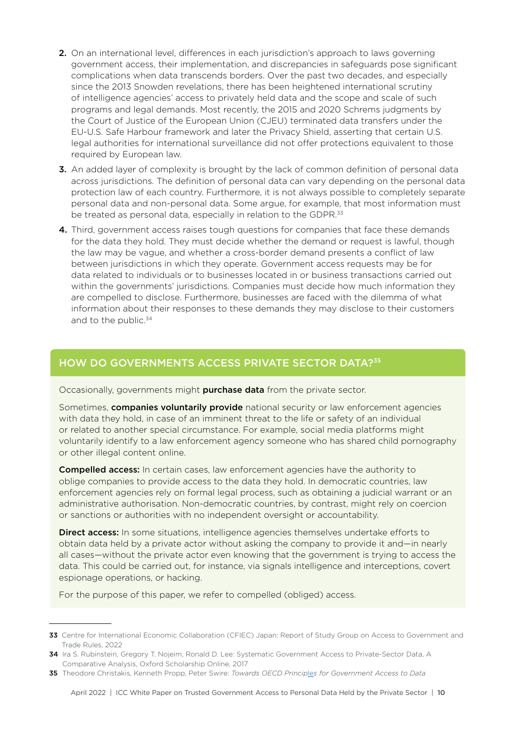- 2. On an international level, differences in each jurisdiction's approach to laws governing government access, their implementation, and discrepancies in safeguards pose significant complications when data transcends borders. Over the past two decades, and especially since the 2013 Snowden revelations, there has been heightened international scrutiny of intelligence agencies' access to privately held data and the scope and scale of such programs and legal demands. Most recently, the 2015 and 2020 Schrems judgments by the Court of Justice of the European Union (CJEU) terminated data transfers under the EU-U.S. Safe Harbour framework and later the Privacy Shield, asserting that certain U.S. legal authorities for international surveillance did not offer protections equivalent to those required by European law.
- **3.** An added layer of complexity is brought by the lack of common definition of personal data across jurisdictions. The definition of personal data can vary depending on the personal data protection law of each country. Furthermore, it is not always possible to completely separate personal data and non-personal data. Some argue, for example, that most information must be treated as personal data, especially in relation to the GDPR.<sup>33</sup>
- 4. Third, government access raises tough questions for companies that face these demands for the data they hold. They must decide whether the demand or request is lawful, though the law may be vague, and whether a cross-border demand presents a conflict of law between jurisdictions in which they operate. Government access requests may be for data related to individuals or to businesses located in or business transactions carried out within the governments' jurisdictions. Companies must decide how much information they are compelled to disclose. Furthermore, businesses are faced with the dilemma of what information about their responses to these demands they may disclose to their customers and to the public.<sup>34</sup>

#### HOW DO GOVERNMENTS ACCESS PRIVATE SECTOR DATA?<sup>35</sup>

Occasionally, governments might **purchase data** from the private sector.

Sometimes, **companies voluntarily provide** national security or law enforcement agencies with data they hold, in case of an imminent threat to the life or safety of an individual or related to another special circumstance. For example, social media platforms might voluntarily identify to a law enforcement agency someone who has shared child pornography or other illegal content online.

**Compelled access:** In certain cases, law enforcement agencies have the authority to oblige companies to provide access to the data they hold. In democratic countries, law enforcement agencies rely on formal legal process, such as obtaining a judicial warrant or an administrative authorisation. Non-democratic countries, by contrast, might rely on coercion or sanctions or authorities with no independent oversight or accountability.

**Direct access:** In some situations, intelligence agencies themselves undertake efforts to obtain data held by a private actor without asking the company to provide it and—in nearly all cases—without the private actor even knowing that the government is trying to access the data. This could be carried out, for instance, via signals intelligence and interceptions, covert espionage operations, or hacking.

For the purpose of this paper, we refer to compelled (obliged) access.

<sup>33</sup> Centre for International Economic Collaboration (CFIEC) Japan: Report of Study Group on Access to Government and Trade Rules, 2022

<sup>34</sup> Ira S. Rubinstein, Gregory T. Nojeim, Ronald D. Lee: Systematic Government Access to Private-Sector Data, A Comparative Analysis, Oxford Scholarship Online, 2017

<sup>35</sup> Theodore Christakis, Kenneth Propp, Peter Swire: *Towards OECD Princip*le*s for Government Access to Data*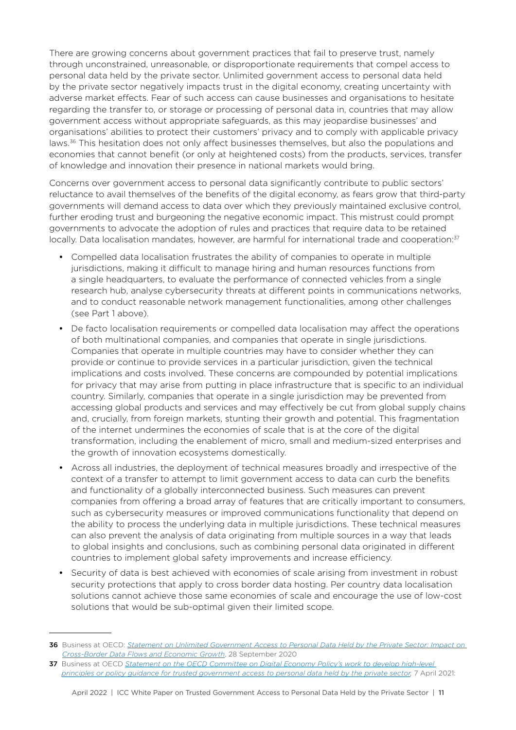There are growing concerns about government practices that fail to preserve trust, namely through unconstrained, unreasonable, or disproportionate requirements that compel access to personal data held by the private sector. Unlimited government access to personal data held by the private sector negatively impacts trust in the digital economy, creating uncertainty with adverse market effects. Fear of such access can cause businesses and organisations to hesitate regarding the transfer to, or storage or processing of personal data in, countries that may allow government access without appropriate safeguards, as this may jeopardise businesses' and organisations' abilities to protect their customers' privacy and to comply with applicable privacy laws.<sup>36</sup> This hesitation does not only affect businesses themselves, but also the populations and economies that cannot benefit (or only at heightened costs) from the products, services, transfer of knowledge and innovation their presence in national markets would bring.

Concerns over government access to personal data significantly contribute to public sectors' reluctance to avail themselves of the benefits of the digital economy, as fears grow that third-party governments will demand access to data over which they previously maintained exclusive control, further eroding trust and burgeoning the negative economic impact. This mistrust could prompt governments to advocate the adoption of rules and practices that require data to be retained locally. Data localisation mandates, however, are harmful for international trade and cooperation:<sup>37</sup>

- Compelled data localisation frustrates the ability of companies to operate in multiple jurisdictions, making it difficult to manage hiring and human resources functions from a single headquarters, to evaluate the performance of connected vehicles from a single research hub, analyse cybersecurity threats at different points in communications networks, and to conduct reasonable network management functionalities, among other challenges (see Part 1 above).
- De facto localisation requirements or compelled data localisation may affect the operations of both multinational companies, and companies that operate in single jurisdictions. Companies that operate in multiple countries may have to consider whether they can provide or continue to provide services in a particular jurisdiction, given the technical implications and costs involved. These concerns are compounded by potential implications for privacy that may arise from putting in place infrastructure that is specific to an individual country. Similarly, companies that operate in a single jurisdiction may be prevented from accessing global products and services and may effectively be cut from global supply chains and, crucially, from foreign markets, stunting their growth and potential. This fragmentation of the internet undermines the economies of scale that is at the core of the digital transformation, including the enablement of micro, small and medium-sized enterprises and the growth of innovation ecosystems domestically.
- Across all industries, the deployment of technical measures broadly and irrespective of the context of a transfer to attempt to limit government access to data can curb the benefits and functionality of a globally interconnected business. Such measures can prevent companies from offering a broad array of features that are critically important to consumers, such as cybersecurity measures or improved communications functionality that depend on the ability to process the underlying data in multiple jurisdictions. These technical measures can also prevent the analysis of data originating from multiple sources in a way that leads to global insights and conclusions, such as combining personal data originated in different countries to implement global safety improvements and increase efficiency.
- Security of data is best achieved with economies of scale arising from investment in robust security protections that apply to cross border data hosting. Per country data localisation solutions cannot achieve those same economies of scale and encourage the use of low-cost solutions that would be sub-optimal given their limited scope.

<sup>36</sup> Business at OECD: *[Statement on Unlimited Government Access to Personal Data Held by the Private Sector: Impact on](https://biac.org/wp-content/uploads/2020/10/Final-Business-at-OECD-Statement-on-Unlimited-Government-Access-to-Personal-Data-1.pdf)  [Cross-Border Data Flows and Economic Growth](https://biac.org/wp-content/uploads/2020/10/Final-Business-at-OECD-Statement-on-Unlimited-Government-Access-to-Personal-Data-1.pdf)*, 28 September 2020

<sup>37</sup> Business at OECD *Statement on the OECD Committee on Digital Economy Policy's work to develop high-level [principles or policy guidance for trusted government access to personal data held by the private sector,](http://www.andi.com.co/Uploads/OCDE1.pdf)* 7 April 2021: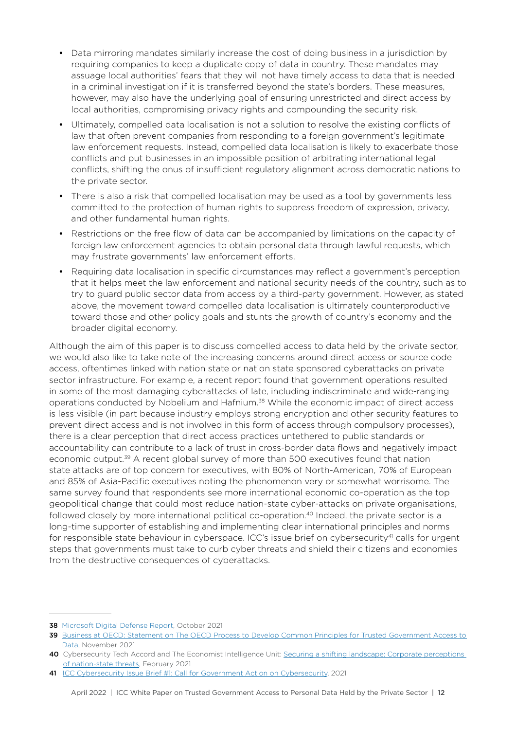- Data mirroring mandates similarly increase the cost of doing business in a jurisdiction by requiring companies to keep a duplicate copy of data in country. These mandates may assuage local authorities' fears that they will not have timely access to data that is needed in a criminal investigation if it is transferred beyond the state's borders. These measures, however, may also have the underlying goal of ensuring unrestricted and direct access by local authorities, compromising privacy rights and compounding the security risk.
- Ultimately, compelled data localisation is not a solution to resolve the existing conflicts of law that often prevent companies from responding to a foreign government's legitimate law enforcement requests. Instead, compelled data localisation is likely to exacerbate those conflicts and put businesses in an impossible position of arbitrating international legal conflicts, shifting the onus of insufficient regulatory alignment across democratic nations to the private sector.
- There is also a risk that compelled localisation may be used as a tool by governments less committed to the protection of human rights to suppress freedom of expression, privacy, and other fundamental human rights.
- Restrictions on the free flow of data can be accompanied by limitations on the capacity of foreign law enforcement agencies to obtain personal data through lawful requests, which may frustrate governments' law enforcement efforts.
- Requiring data localisation in specific circumstances may reflect a government's perception that it helps meet the law enforcement and national security needs of the country, such as to try to guard public sector data from access by a third-party government. However, as stated above, the movement toward compelled data localisation is ultimately counterproductive toward those and other policy goals and stunts the growth of country's economy and the broader digital economy.

Although the aim of this paper is to discuss compelled access to data held by the private sector, we would also like to take note of the increasing concerns around direct access or source code access, oftentimes linked with nation state or nation state sponsored cyberattacks on private sector infrastructure. For example, a recent report found that government operations resulted in some of the most damaging cyberattacks of late, including indiscriminate and wide-ranging operations conducted by Nobelium and Hafnium.<sup>38</sup> While the economic impact of direct access is less visible (in part because industry employs strong encryption and other security features to prevent direct access and is not involved in this form of access through compulsory processes), there is a clear perception that direct access practices untethered to public standards or accountability can contribute to a lack of trust in cross-border data flows and negatively impact economic output.39 A recent global survey of more than 500 executives found that nation state attacks are of top concern for executives, with 80% of North-American, 70% of European and 85% of Asia-Pacific executives noting the phenomenon very or somewhat worrisome. The same survey found that respondents see more international economic co-operation as the top geopolitical change that could most reduce nation-state cyber-attacks on private organisations, followed closely by more international political co-operation.<sup>40</sup> Indeed, the private sector is a long-time supporter of establishing and implementing clear international principles and norms for responsible state behaviour in cyberspace. ICC's issue brief on cybersecurity<sup>41</sup> calls for urgent steps that governments must take to curb cyber threats and shield their citizens and economies from the destructive consequences of cyberattacks.

<sup>38</sup> [Microsoft Digital Defense Report,](https://www.microsoft.com/en-us/security/business/microsoft-digital-defense-report) October 2021

<sup>39</sup> Business at OECD: Statement on The OECD Process to Develop Common Principles for Trusted Government Access to [Data](https://biac.org/wp-content/uploads/2021/12/The-OECD-Process-to-Develop-Common-Principles-for-Trusted-Government-Access-to-Data-1.pdf), November 2021

<sup>40</sup> Cybersecurity Tech Accord and The Economist Intelligence Unit: [Securing a shifting landscape: Corporate perceptions](https://cybertechaccord.org/state-sponsored-cyberattacks-cybersecurity-tech-accord-and-economist-intelligence-unit-study-reveals-they-are-a-major-concern-for-businesses/)  [of nation-state threats](https://cybertechaccord.org/state-sponsored-cyberattacks-cybersecurity-tech-accord-and-economist-intelligence-unit-study-reveals-they-are-a-major-concern-for-businesses/), February 2021

<sup>41</sup> I[CC Cybersecurity Issue Brief #1: Call for Government Action on Cybersecurity,](https://iccwbo.org/publication/icc-cybersecurity-issue-brief-1/) 2021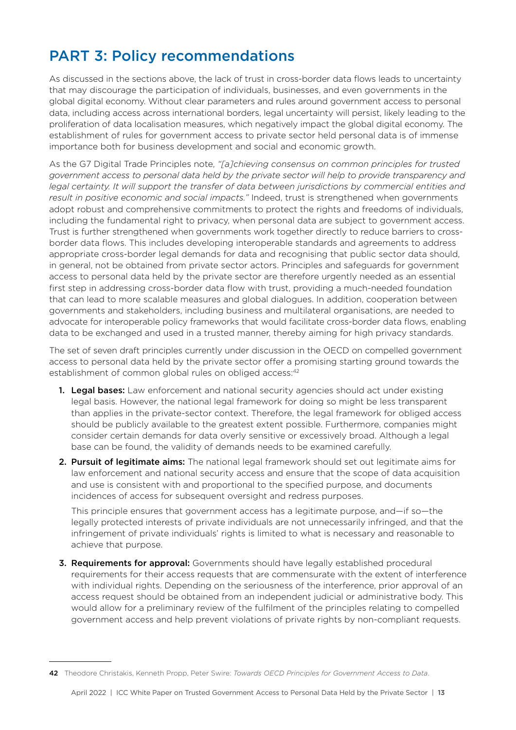## <span id="page-12-0"></span>PART 3: Policy recommendations

As discussed in the sections above, the lack of trust in cross-border data flows leads to uncertainty that may discourage the participation of individuals, businesses, and even governments in the global digital economy. Without clear parameters and rules around government access to personal data, including access across international borders, legal uncertainty will persist, likely leading to the proliferation of data localisation measures, which negatively impact the global digital economy. The establishment of rules for government access to private sector held personal data is of immense importance both for business development and social and economic growth.

As the G7 Digital Trade Principles note, *"[a]chieving consensus on common principles for trusted government access to personal data held by the private sector will help to provide transparency and*  legal certainty. It will support the transfer of data between jurisdictions by commercial entities and *result in positive economic and social impacts."* Indeed, trust is strengthened when governments adopt robust and comprehensive commitments to protect the rights and freedoms of individuals, including the fundamental right to privacy, when personal data are subject to government access. Trust is further strengthened when governments work together directly to reduce barriers to crossborder data flows. This includes developing interoperable standards and agreements to address appropriate cross-border legal demands for data and recognising that public sector data should, in general, not be obtained from private sector actors. Principles and safeguards for government access to personal data held by the private sector are therefore urgently needed as an essential first step in addressing cross-border data flow with trust, providing a much-needed foundation that can lead to more scalable measures and global dialogues. In addition, cooperation between governments and stakeholders, including business and multilateral organisations, are needed to advocate for interoperable policy frameworks that would facilitate cross-border data flows, enabling data to be exchanged and used in a trusted manner, thereby aiming for high privacy standards.

The set of seven draft principles currently under discussion in the OECD on compelled government access to personal data held by the private sector offer a promising starting ground towards the establishment of common global rules on obliged access:<sup>42</sup>

- **1. Legal bases:** Law enforcement and national security agencies should act under existing legal basis. However, the national legal framework for doing so might be less transparent than applies in the private-sector context. Therefore, the legal framework for obliged access should be publicly available to the greatest extent possible. Furthermore, companies might consider certain demands for data overly sensitive or excessively broad. Although a legal base can be found, the validity of demands needs to be examined carefully.
- 2. Pursuit of legitimate aims: The national legal framework should set out legitimate aims for law enforcement and national security access and ensure that the scope of data acquisition and use is consistent with and proportional to the specified purpose, and documents incidences of access for subsequent oversight and redress purposes.

This principle ensures that government access has a legitimate purpose, and—if so—the legally protected interests of private individuals are not unnecessarily infringed, and that the infringement of private individuals' rights is limited to what is necessary and reasonable to achieve that purpose.

3. Requirements for approval: Governments should have legally established procedural requirements for their access requests that are commensurate with the extent of interference with individual rights. Depending on the seriousness of the interference, prior approval of an access request should be obtained from an independent judicial or administrative body. This would allow for a preliminary review of the fulfilment of the principles relating to compelled government access and help prevent violations of private rights by non-compliant requests.

<sup>42</sup> Theodore Christakis, Kenneth Propp, Peter Swire: *Towards OECD Principles for Government Access to Data*.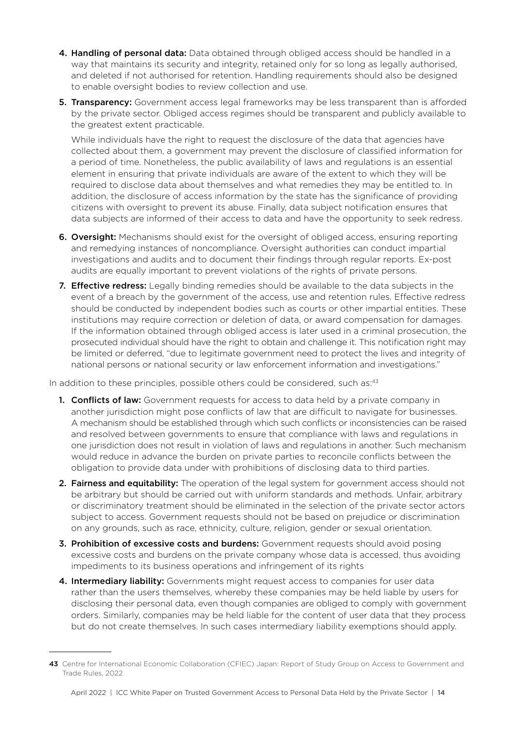- 4. Handling of personal data: Data obtained through obliged access should be handled in a way that maintains its security and integrity, retained only for so long as legally authorised, and deleted if not authorised for retention. Handling requirements should also be designed to enable oversight bodies to review collection and use.
- **5. Transparency:** Government access legal frameworks may be less transparent than is afforded by the private sector. Obliged access regimes should be transparent and publicly available to the greatest extent practicable.

While individuals have the right to request the disclosure of the data that agencies have collected about them, a government may prevent the disclosure of classified information for a period of time. Nonetheless, the public availability of laws and regulations is an essential element in ensuring that private individuals are aware of the extent to which they will be required to disclose data about themselves and what remedies they may be entitled to. In addition, the disclosure of access information by the state has the significance of providing citizens with oversight to prevent its abuse. Finally, data subject notification ensures that data subjects are informed of their access to data and have the opportunity to seek redress.

- **6. Oversight:** Mechanisms should exist for the oversight of obliged access, ensuring reporting and remedying instances of noncompliance. Oversight authorities can conduct impartial investigations and audits and to document their findings through regular reports. Ex-post audits are equally important to prevent violations of the rights of private persons.
- **7. Effective redress:** Legally binding remedies should be available to the data subjects in the event of a breach by the government of the access, use and retention rules. Effective redress should be conducted by independent bodies such as courts or other impartial entities. These institutions may require correction or deletion of data, or award compensation for damages. If the information obtained through obliged access is later used in a criminal prosecution, the prosecuted individual should have the right to obtain and challenge it. This notification right may be limited or deferred, "due to legitimate government need to protect the lives and integrity of national persons or national security or law enforcement information and investigations."

In addition to these principles, possible others could be considered, such as:43

- **1. Conflicts of law:** Government requests for access to data held by a private company in another jurisdiction might pose conflicts of law that are difficult to navigate for businesses. A mechanism should be established through which such conflicts or inconsistencies can be raised and resolved between governments to ensure that compliance with laws and regulations in one jurisdiction does not result in violation of laws and regulations in another. Such mechanism would reduce in advance the burden on private parties to reconcile conflicts between the obligation to provide data under with prohibitions of disclosing data to third parties.
- 2. Fairness and equitability: The operation of the legal system for government access should not be arbitrary but should be carried out with uniform standards and methods. Unfair, arbitrary or discriminatory treatment should be eliminated in the selection of the private sector actors subject to access. Government requests should not be based on prejudice or discrimination on any grounds, such as race, ethnicity, culture, religion, gender or sexual orientation.
- 3. Prohibition of excessive costs and burdens: Government requests should avoid posing excessive costs and burdens on the private company whose data is accessed, thus avoiding impediments to its business operations and infringement of its rights
- 4. Intermediary liability: Governments might request access to companies for user data rather than the users themselves, whereby these companies may be held liable by users for disclosing their personal data, even though companies are obliged to comply with government orders. Similarly, companies may be held liable for the content of user data that they process but do not create themselves. In such cases intermediary liability exemptions should apply.

<sup>43</sup> Centre for International Economic Collaboration (CFIEC) Japan: Report of Study Group on Access to Government and Trade Rules, 2022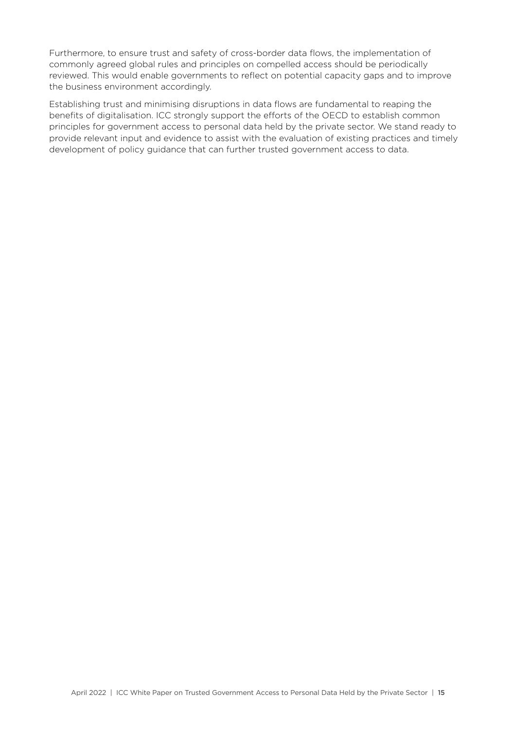Furthermore, to ensure trust and safety of cross-border data flows, the implementation of commonly agreed global rules and principles on compelled access should be periodically reviewed. This would enable governments to reflect on potential capacity gaps and to improve the business environment accordingly.

Establishing trust and minimising disruptions in data flows are fundamental to reaping the benefits of digitalisation. ICC strongly support the efforts of the OECD to establish common principles for government access to personal data held by the private sector. We stand ready to provide relevant input and evidence to assist with the evaluation of existing practices and timely development of policy guidance that can further trusted government access to data.